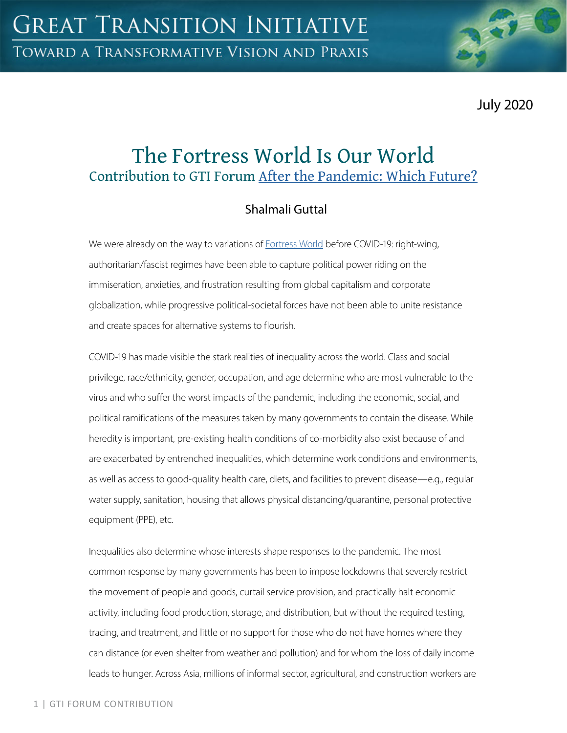July 2020

# The Fortress World Is Our World Contribution to GTI Forum [After the Pandemic: Which Future?](https://greattransition.org/gti-forum/after-the-pandemic-which-future-1)

## Shalmali Guttal

We were already on the way to variations of **[Fortress World](https://greattransition.org/explore/scenarios/taxonomy)** before COVID-19: right-wing, authoritarian/fascist regimes have been able to capture political power riding on the immiseration, anxieties, and frustration resulting from global capitalism and corporate globalization, while progressive political-societal forces have not been able to unite resistance and create spaces for alternative systems to flourish.

COVID-19 has made visible the stark realities of inequality across the world. Class and social privilege, race/ethnicity, gender, occupation, and age determine who are most vulnerable to the virus and who suffer the worst impacts of the pandemic, including the economic, social, and political ramifications of the measures taken by many governments to contain the disease. While heredity is important, pre-existing health conditions of co-morbidity also exist because of and are exacerbated by entrenched inequalities, which determine work conditions and environments, as well as access to good-quality health care, diets, and facilities to prevent disease—e.g., regular water supply, sanitation, housing that allows physical distancing/quarantine, personal protective equipment (PPE), etc.

Inequalities also determine whose interests shape responses to the pandemic. The most common response by many governments has been to impose lockdowns that severely restrict the movement of people and goods, curtail service provision, and practically halt economic activity, including food production, storage, and distribution, but without the required testing, tracing, and treatment, and little or no support for those who do not have homes where they can distance (or even shelter from weather and pollution) and for whom the loss of daily income leads to hunger. Across Asia, millions of informal sector, agricultural, and construction workers are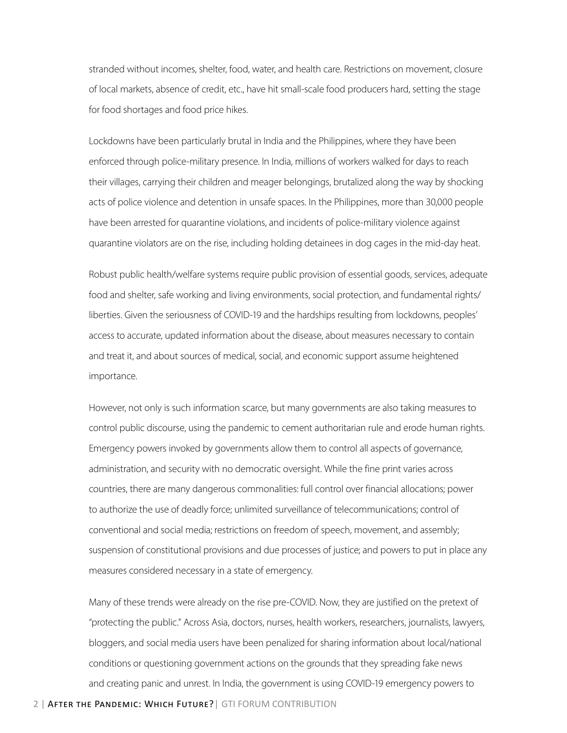stranded without incomes, shelter, food, water, and health care. Restrictions on movement, closure of local markets, absence of credit, etc., have hit small-scale food producers hard, setting the stage for food shortages and food price hikes.

Lockdowns have been particularly brutal in India and the Philippines, where they have been enforced through police-military presence. In India, millions of workers walked for days to reach their villages, carrying their children and meager belongings, brutalized along the way by shocking acts of police violence and detention in unsafe spaces. In the Philippines, more than 30,000 people have been arrested for quarantine violations, and incidents of police-military violence against quarantine violators are on the rise, including holding detainees in dog cages in the mid-day heat.

Robust public health/welfare systems require public provision of essential goods, services, adequate food and shelter, safe working and living environments, social protection, and fundamental rights/ liberties. Given the seriousness of COVID-19 and the hardships resulting from lockdowns, peoples' access to accurate, updated information about the disease, about measures necessary to contain and treat it, and about sources of medical, social, and economic support assume heightened importance.

However, not only is such information scarce, but many governments are also taking measures to control public discourse, using the pandemic to cement authoritarian rule and erode human rights. Emergency powers invoked by governments allow them to control all aspects of governance, administration, and security with no democratic oversight. While the fine print varies across countries, there are many dangerous commonalities: full control over financial allocations; power to authorize the use of deadly force; unlimited surveillance of telecommunications; control of conventional and social media; restrictions on freedom of speech, movement, and assembly; suspension of constitutional provisions and due processes of justice; and powers to put in place any measures considered necessary in a state of emergency.

Many of these trends were already on the rise pre-COVID. Now, they are justified on the pretext of "protecting the public." Across Asia, doctors, nurses, health workers, researchers, journalists, lawyers, bloggers, and social media users have been penalized for sharing information about local/national conditions or questioning government actions on the grounds that they spreading fake news and creating panic and unrest. In India, the government is using COVID-19 emergency powers to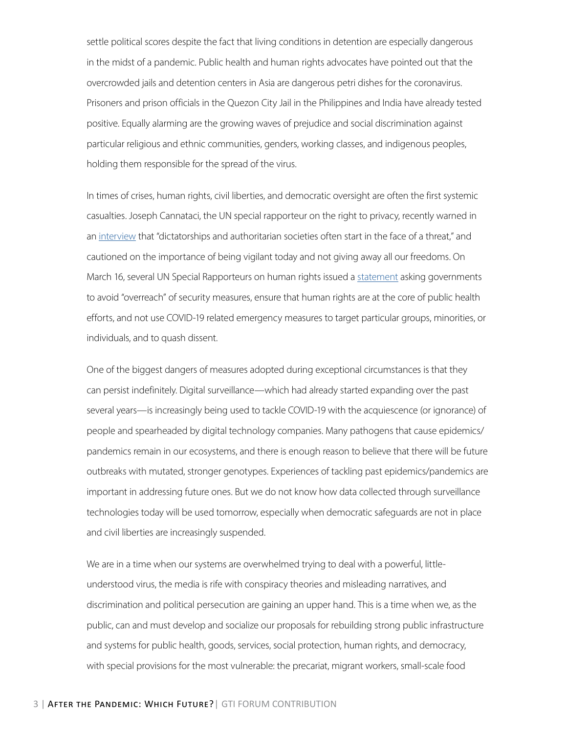settle political scores despite the fact that living conditions in detention are especially dangerous in the midst of a pandemic. Public health and human rights advocates have pointed out that the overcrowded jails and detention centers in Asia are dangerous petri dishes for the coronavirus. Prisoners and prison officials in the Quezon City Jail in the Philippines and India have already tested positive. Equally alarming are the growing waves of prejudice and social discrimination against particular religious and ethnic communities, genders, working classes, and indigenous peoples, holding them responsible for the spread of the virus.

In times of crises, human rights, civil liberties, and democratic oversight are often the first systemic casualties. Joseph Cannataci, the UN special rapporteur on the right to privacy, recently warned in an [interview](https://www.reuters.com/article/us-health-coronavirus-privacy/coronavirus-surveillance-poses-long-term-privacy-threat-un-expert-warns-idUSKBN21I1XG) that "dictatorships and authoritarian societies often start in the face of a threat," and cautioned on the importance of being vigilant today and not giving away all our freedoms. On March 16, several UN Special Rapporteurs on human rights issued a [statement](https://www.ohchr.org/EN/NewsEvents/Pages/DisplayNews.aspx?NewsID=25722&LangID=E) asking governments to avoid "overreach" of security measures, ensure that human rights are at the core of public health efforts, and not use COVID-19 related emergency measures to target particular groups, minorities, or individuals, and to quash dissent.

One of the biggest dangers of measures adopted during exceptional circumstances is that they can persist indefinitely. Digital surveillance—which had already started expanding over the past several years—is increasingly being used to tackle COVID-19 with the acquiescence (or ignorance) of people and spearheaded by digital technology companies. Many pathogens that cause epidemics/ pandemics remain in our ecosystems, and there is enough reason to believe that there will be future outbreaks with mutated, stronger genotypes. Experiences of tackling past epidemics/pandemics are important in addressing future ones. But we do not know how data collected through surveillance technologies today will be used tomorrow, especially when democratic safeguards are not in place and civil liberties are increasingly suspended.

We are in a time when our systems are overwhelmed trying to deal with a powerful, littleunderstood virus, the media is rife with conspiracy theories and misleading narratives, and discrimination and political persecution are gaining an upper hand. This is a time when we, as the public, can and must develop and socialize our proposals for rebuilding strong public infrastructure and systems for public health, goods, services, social protection, human rights, and democracy, with special provisions for the most vulnerable: the precariat, migrant workers, small-scale food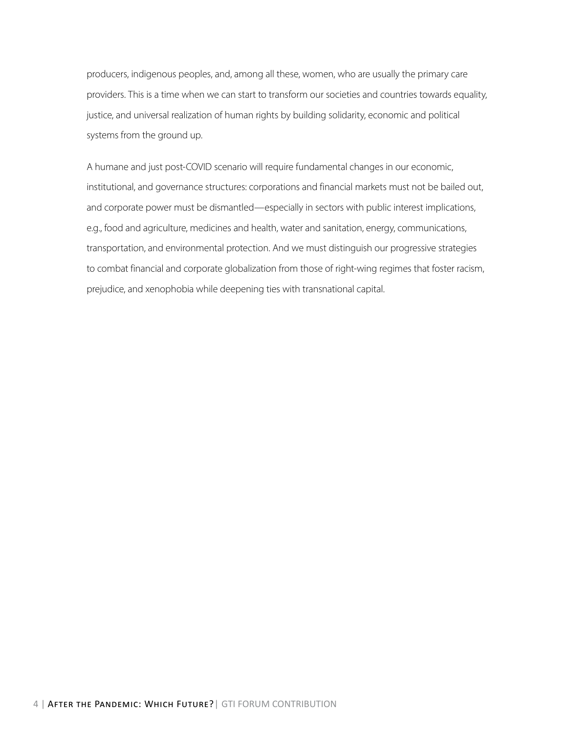producers, indigenous peoples, and, among all these, women, who are usually the primary care providers. This is a time when we can start to transform our societies and countries towards equality, justice, and universal realization of human rights by building solidarity, economic and political systems from the ground up.

A humane and just post-COVID scenario will require fundamental changes in our economic, institutional, and governance structures: corporations and financial markets must not be bailed out, and corporate power must be dismantled—especially in sectors with public interest implications, e.g., food and agriculture, medicines and health, water and sanitation, energy, communications, transportation, and environmental protection. And we must distinguish our progressive strategies to combat financial and corporate globalization from those of right-wing regimes that foster racism, prejudice, and xenophobia while deepening ties with transnational capital.